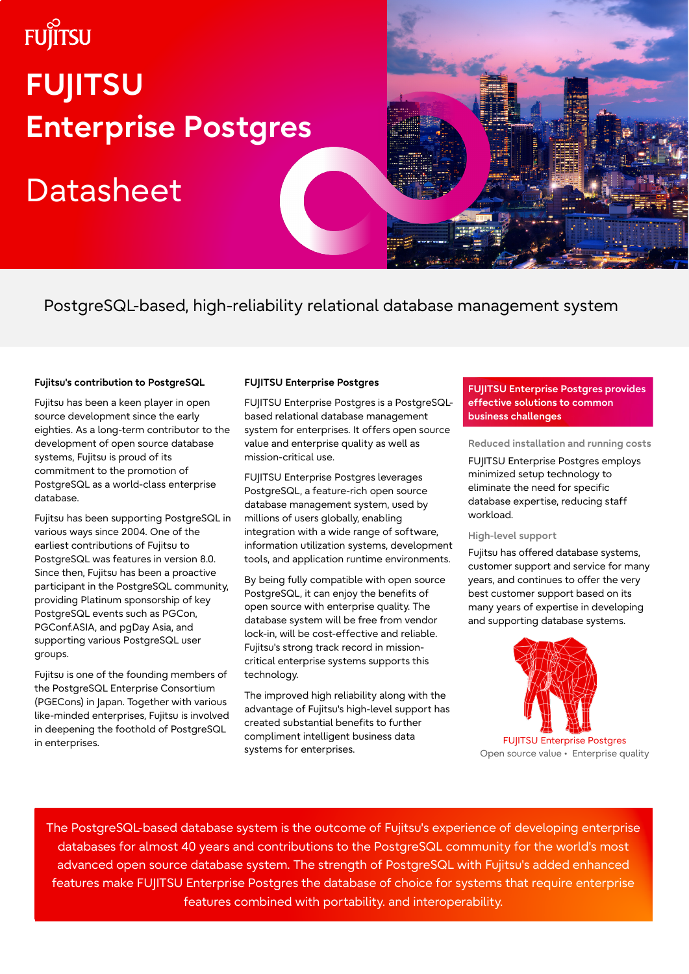# **FUJITSU FUJITSU Enterprise Postgres**

## **Datasheet**

PostgreSQL-based, high-reliability relational database management system

#### **Fujitsu's contribution to PostgreSQL**

Fujitsu has been a keen player in open source development since the early eighties. As a long-term contributor to the development of open source database systems, Fujitsu is proud of its commitment to the promotion of PostgreSQL as a world-class enterprise database.

Fujitsu has been supporting PostgreSQL in various ways since 2004. One of the earliest contributions of Fujitsu to PostgreSQL was features in version 8.0. Since then, Fujitsu has been a proactive participant in the PostgreSQL community, providing Platinum sponsorship of key PostgreSQL events such as PGCon, PGConf.ASIA, and pgDay Asia, and supporting various PostgreSQL user groups.

Fujitsu is one of the founding members of the PostgreSQL Enterprise Consortium (PGECons) in Japan. Together with various like-minded enterprises, Fujitsu is involved in deepening the foothold of PostgreSQL in enterprises.

#### **FUJITSU Enterprise Postgres**

FUJITSU Enterprise Postgres is a PostgreSQLbased relational database management system for enterprises. It offers open source value and enterprise quality as well as mission-critical use.

FUJITSU Enterprise Postgres leverages PostgreSQL, a feature-rich open source database management system, used by millions of users globally, enabling integration with a wide range of software, information utilization systems, development tools, and application runtime environments.

By being fully compatible with open source PostgreSQL, it can enjoy the benefits of open source with enterprise quality. The database system will be free from vendor lock-in, will be cost-effective and reliable. Fujitsu's strong track record in missioncritical enterprise systems supports this technology.

The improved high reliability along with the advantage of Fujitsu's high-level support has created substantial benefits to further compliment intelligent business data systems for enterprises.

#### **FUJITSU Enterprise Postgres provides effective solutions to common business challenges**

**Reduced installation and running costs**

FUJITSU Enterprise Postgres employs minimized setup technology to eliminate the need for specific database expertise, reducing staff workload.

#### **High-level support**

Fujitsu has offered database systems, customer support and service for many years, and continues to offer the very best customer support based on its many years of expertise in developing and supporting database systems.



FUJITSU Enterprise Postgres Open source value • Enterprise quality

The PostgreSQL-based database system is the outcome of Fujitsu's experience of developing enterprise databases for almost 40 years and contributions to the PostgreSQL community for the world's most advanced open source database system. The strength of PostgreSQL with Fujitsu's added enhanced features make FUJITSU Enterprise Postgres the database of choice for systems that require enterprise features combined with portability. and interoperability.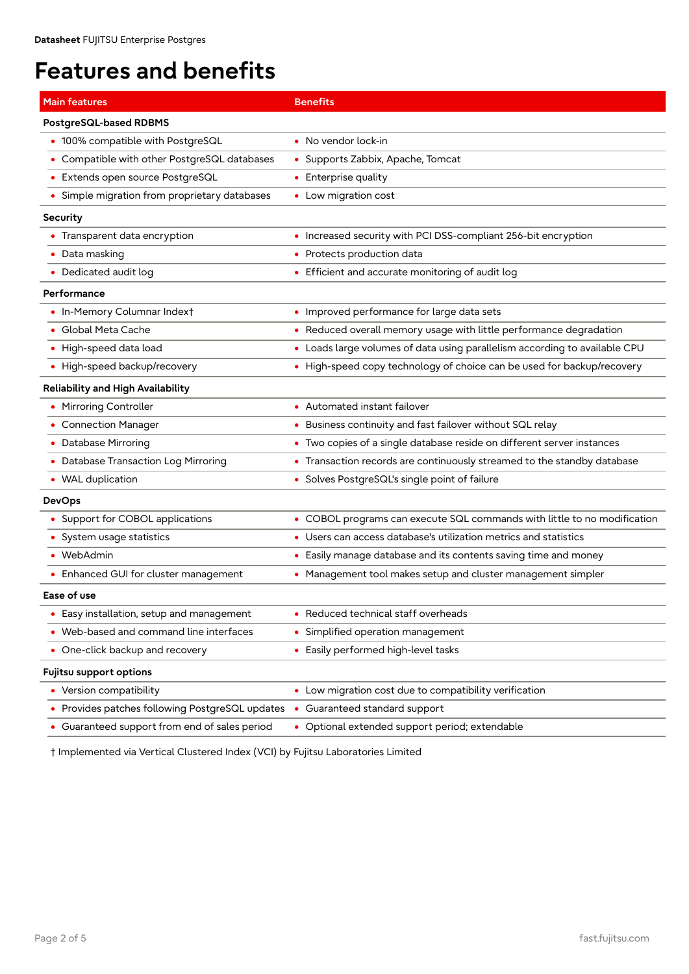## **Features and benefits**

| <b>Main features</b>                          | <b>Benefits</b>                                                            |
|-----------------------------------------------|----------------------------------------------------------------------------|
| PostgreSQL-based RDBMS                        |                                                                            |
| • 100% compatible with PostgreSQL             | • No vendor lock-in                                                        |
| • Compatible with other PostgreSQL databases  | • Supports Zabbix, Apache, Tomcat                                          |
| • Extends open source PostgreSQL              | • Enterprise quality                                                       |
| • Simple migration from proprietary databases | • Low migration cost                                                       |
| Security                                      |                                                                            |
| • Transparent data encryption                 | • Increased security with PCI DSS-compliant 256-bit encryption             |
| • Data masking                                | • Protects production data                                                 |
| • Dedicated audit log                         | • Efficient and accurate monitoring of audit log                           |
| Performance                                   |                                                                            |
| • In-Memory Columnar Indext                   | • Improved performance for large data sets                                 |
| • Global Meta Cache                           | • Reduced overall memory usage with little performance degradation         |
| • High-speed data load                        | • Loads large volumes of data using parallelism according to available CPU |
| High-speed backup/recovery                    | • High-speed copy technology of choice can be used for backup/recovery     |
| Reliability and High Availability             |                                                                            |
| • Mirroring Controller                        | • Automated instant failover                                               |
| • Connection Manager                          | • Business continuity and fast failover without SQL relay                  |
| Database Mirroring                            | • Two copies of a single database reside on different server instances     |
| • Database Transaction Log Mirroring          | • Transaction records are continuously streamed to the standby database    |
| • WAL duplication                             | • Solves PostgreSQL's single point of failure                              |
| <b>DevOps</b>                                 |                                                                            |
| • Support for COBOL applications              | • COBOL programs can execute SQL commands with little to no modification   |
| • System usage statistics                     | • Users can access database's utilization metrics and statistics           |
| • WebAdmin                                    | • Easily manage database and its contents saving time and money            |
| • Enhanced GUI for cluster management         | • Management tool makes setup and cluster management simpler               |
| Ease of use                                   |                                                                            |
| Easy installation, setup and management       | • Reduced technical staff overheads                                        |
| Web-based and command line interfaces         | • Simplified operation management                                          |
| One-click backup and recovery                 | • Easily performed high-level tasks                                        |
| Fujitsu support options                       |                                                                            |
| • Version compatibility                       | • Low migration cost due to compatibility verification                     |
| Provides patches following PostgreSQL updates | • Guaranteed standard support                                              |
| • Guaranteed support from end of sales period | • Optional extended support period; extendable                             |

† Implemented via Vertical Clustered Index (VCI) by Fujitsu Laboratories Limited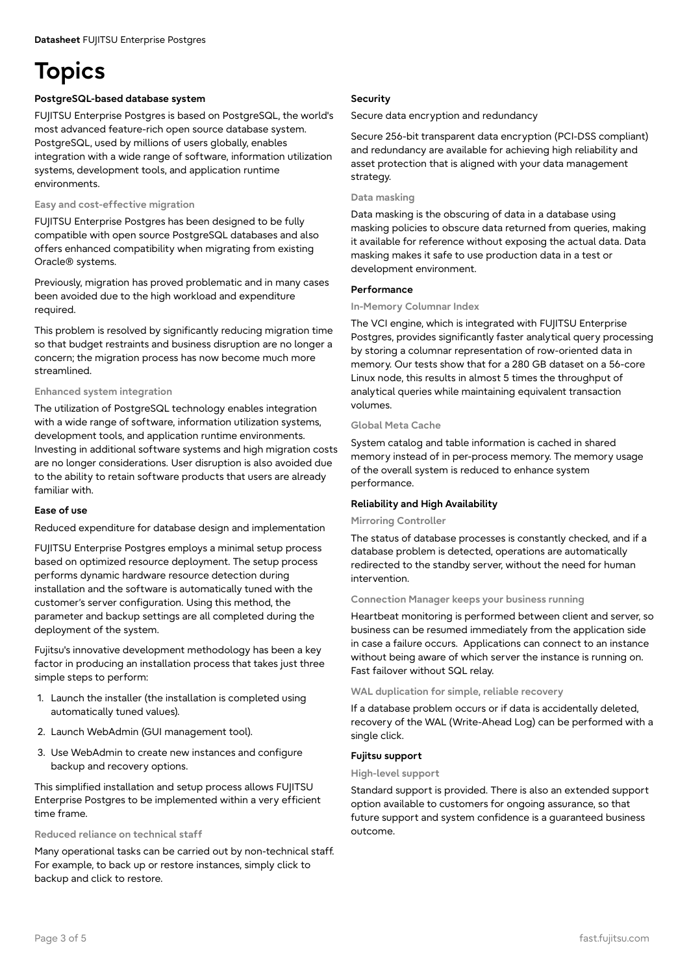## **Topics**

#### **PostgreSQL-based database system**

FUJITSU Enterprise Postgres is based on PostgreSQL, the world's most advanced feature-rich open source database system. PostgreSQL, used by millions of users globally, enables integration with a wide range of software, information utilization systems, development tools, and application runtime environments.

#### **Easy and cost-effective migration**

FUJITSU Enterprise Postgres has been designed to be fully compatible with open source PostgreSQL databases and also offers enhanced compatibility when migrating from existing Oracle® systems.

Previously, migration has proved problematic and in many cases been avoided due to the high workload and expenditure required.

This problem is resolved by significantly reducing migration time so that budget restraints and business disruption are no longer a concern; the migration process has now become much more streamlined.

#### **Enhanced system integration**

The utilization of PostgreSQL technology enables integration with a wide range of software, information utilization systems, development tools, and application runtime environments. Investing in additional software systems and high migration costs are no longer considerations. User disruption is also avoided due to the ability to retain software products that users are already familiar with.

#### **Ease of use**

Reduced expenditure for database design and implementation

FUJITSU Enterprise Postgres employs a minimal setup process based on optimized resource deployment. The setup process performs dynamic hardware resource detection during installation and the software is automatically tuned with the customer's server configuration. Using this method, the parameter and backup settings are all completed during the deployment of the system.

Fujitsu's innovative development methodology has been a key factor in producing an installation process that takes just three simple steps to perform:

- 1. Launch the installer (the installation is completed using automatically tuned values).
- 2. Launch WebAdmin (GUI management tool).
- 3. Use WebAdmin to create new instances and configure backup and recovery options.

This simplified installation and setup process allows FUJITSU Enterprise Postgres to be implemented within a very efficient time frame.

#### **Reduced reliance on technical staff**

Many operational tasks can be carried out by non-technical staff. For example, to back up or restore instances, simply click to backup and click to restore.

#### **Security**

Secure data encryption and redundancy

Secure 256-bit transparent data encryption (PCI-DSS compliant) and redundancy are available for achieving high reliability and asset protection that is aligned with your data management strategy.

#### **Data masking**

Data masking is the obscuring of data in a database using masking policies to obscure data returned from queries, making it available for reference without exposing the actual data. Data masking makes it safe to use production data in a test or development environment.

#### **Performance**

#### **In-Memory Columnar Index**

The VCI engine, which is integrated with FUJITSU Enterprise Postgres, provides significantly faster analytical query processing by storing a columnar representation of row-oriented data in memory. Our tests show that for a 280 GB dataset on a 56-core Linux node, this results in almost 5 times the throughput of analytical queries while maintaining equivalent transaction volumes.

#### **Global Meta Cache**

System catalog and table information is cached in shared memory instead of in per-process memory. The memory usage of the overall system is reduced to enhance system performance.

#### **Reliability and High Availability**

#### **Mirroring Controller**

The status of database processes is constantly checked, and if a database problem is detected, operations are automatically redirected to the standby server, without the need for human intervention.

#### **Connection Manager keeps your business running**

Heartbeat monitoring is performed between client and server, so business can be resumed immediately from the application side in case a failure occurs. Applications can connect to an instance without being aware of which server the instance is running on. Fast failover without SQL relay.

#### **WAL duplication for simple, reliable recovery**

If a database problem occurs or if data is accidentally deleted, recovery of the WAL (Write-Ahead Log) can be performed with a single click.

#### **Fujitsu support**

#### **High-level support**

Standard support is provided. There is also an extended support option available to customers for ongoing assurance, so that future support and system confidence is a guaranteed business outcome.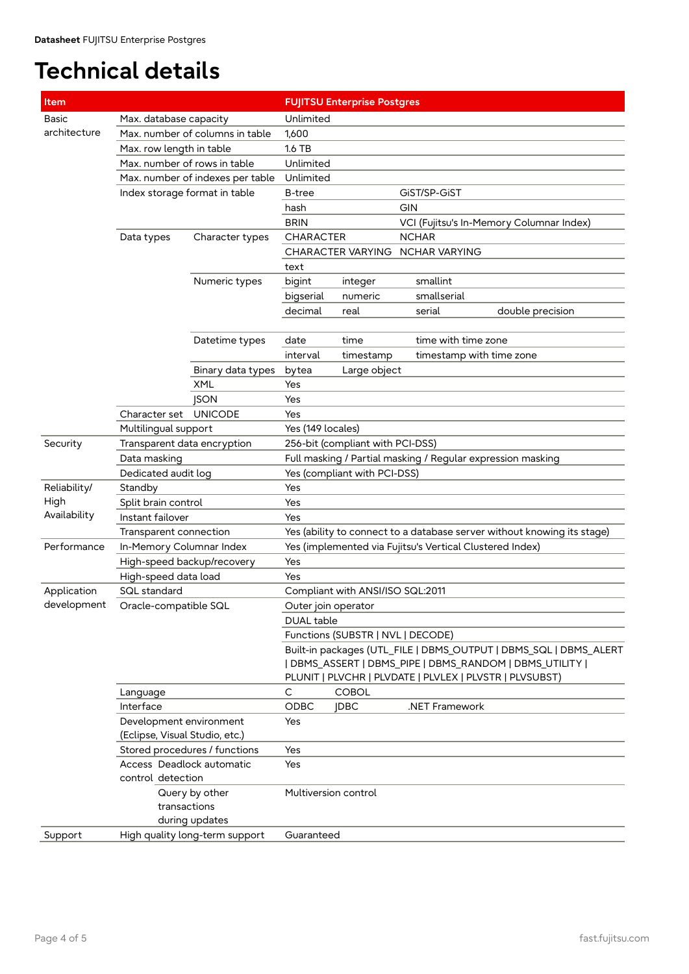### **Technical details**

| Item         |                                  |                                                      |                                                                         | <b>FUJITSU Enterprise Postgres</b>                                |                          |                                                         |  |  |
|--------------|----------------------------------|------------------------------------------------------|-------------------------------------------------------------------------|-------------------------------------------------------------------|--------------------------|---------------------------------------------------------|--|--|
| <b>Basic</b> | Max. database capacity           | Unlimited                                            |                                                                         |                                                                   |                          |                                                         |  |  |
| architecture | Max, number of columns in table  |                                                      |                                                                         |                                                                   |                          |                                                         |  |  |
|              | Max. row length in table         |                                                      | 1.6 TB                                                                  |                                                                   |                          |                                                         |  |  |
|              | Max, number of rows in table     |                                                      |                                                                         | Unlimited                                                         |                          |                                                         |  |  |
|              | Max. number of indexes per table |                                                      | Unlimited                                                               |                                                                   |                          |                                                         |  |  |
|              | Index storage format in table    |                                                      | GiST/SP-GiST<br>B-tree                                                  |                                                                   |                          |                                                         |  |  |
|              |                                  |                                                      | <b>GIN</b><br>hash                                                      |                                                                   |                          |                                                         |  |  |
|              |                                  |                                                      | <b>BRIN</b><br>VCI (Fujitsu's In-Memory Columnar Index)                 |                                                                   |                          |                                                         |  |  |
|              | Data types                       | Character types                                      | <b>CHARACTER</b>                                                        |                                                                   | <b>NCHAR</b>             |                                                         |  |  |
|              |                                  |                                                      | <b>CHARACTER VARYING</b><br><b>NCHAR VARYING</b>                        |                                                                   |                          |                                                         |  |  |
|              |                                  |                                                      | text                                                                    |                                                                   |                          |                                                         |  |  |
|              |                                  | Numeric types                                        | bigint                                                                  | integer                                                           | smallint                 |                                                         |  |  |
|              |                                  |                                                      | bigserial                                                               | numeric                                                           | smallserial              |                                                         |  |  |
|              |                                  |                                                      | decimal                                                                 | real                                                              | serial                   | double precision                                        |  |  |
|              |                                  |                                                      |                                                                         |                                                                   |                          |                                                         |  |  |
|              |                                  | Datetime types                                       | date                                                                    | time                                                              | time with time zone      |                                                         |  |  |
|              |                                  |                                                      | interval                                                                | timestamp                                                         | timestamp with time zone |                                                         |  |  |
|              |                                  | Binary data types                                    | bytea                                                                   | Large object                                                      |                          |                                                         |  |  |
|              |                                  | <b>XML</b>                                           | Yes                                                                     |                                                                   |                          |                                                         |  |  |
|              |                                  | <b>JSON</b>                                          | Yes                                                                     |                                                                   |                          |                                                         |  |  |
|              | Character set                    | <b>UNICODE</b>                                       | Yes                                                                     |                                                                   |                          |                                                         |  |  |
|              | Multilingual support             |                                                      | Yes (149 locales)                                                       |                                                                   |                          |                                                         |  |  |
| Security     | Transparent data encryption      |                                                      | 256-bit (compliant with PCI-DSS)                                        |                                                                   |                          |                                                         |  |  |
|              | Data masking                     |                                                      | Full masking / Partial masking / Regular expression masking             |                                                                   |                          |                                                         |  |  |
|              | Dedicated audit log              |                                                      | Yes (compliant with PCI-DSS)                                            |                                                                   |                          |                                                         |  |  |
| Reliability/ | Standby                          |                                                      | Yes                                                                     |                                                                   |                          |                                                         |  |  |
| High         | Split brain control              | Yes                                                  |                                                                         |                                                                   |                          |                                                         |  |  |
| Availability | Instant failover                 |                                                      | Yes                                                                     |                                                                   |                          |                                                         |  |  |
|              | Transparent connection           |                                                      | Yes (ability to connect to a database server without knowing its stage) |                                                                   |                          |                                                         |  |  |
| Performance  | In-Memory Columnar Index         |                                                      | Yes (implemented via Fujitsu's Vertical Clustered Index)                |                                                                   |                          |                                                         |  |  |
|              | High-speed backup/recovery       |                                                      | Yes                                                                     |                                                                   |                          |                                                         |  |  |
|              | High-speed data load             |                                                      | Yes                                                                     |                                                                   |                          |                                                         |  |  |
| Application  | SQL standard                     |                                                      |                                                                         | Compliant with ANSI/ISO SQL:2011                                  |                          |                                                         |  |  |
| development  | Oracle-compatible SQL            |                                                      | Outer join operator                                                     |                                                                   |                          |                                                         |  |  |
|              |                                  |                                                      | DUAL table                                                              |                                                                   |                          |                                                         |  |  |
|              |                                  |                                                      | Functions (SUBSTR   NVL   DECODE)                                       |                                                                   |                          |                                                         |  |  |
|              |                                  |                                                      |                                                                         | Built-in packages (UTL_FILE   DBMS_OUTPUT   DBMS_SQL   DBMS_ALERT |                          |                                                         |  |  |
|              |                                  | DBMS_ASSERT   DBMS_PIPE   DBMS_RANDOM   DBMS_UTILITY |                                                                         |                                                                   |                          |                                                         |  |  |
|              |                                  |                                                      |                                                                         |                                                                   |                          | PLUNIT   PLVCHR   PLVDATE   PLVLEX   PLVSTR   PLVSUBST) |  |  |
|              | Language                         |                                                      | C                                                                       | <b>COBOL</b>                                                      |                          |                                                         |  |  |
|              | Interface                        |                                                      | ODBC                                                                    | <b>JDBC</b>                                                       | .NET Framework           |                                                         |  |  |
|              | Development environment          |                                                      | Yes                                                                     |                                                                   |                          |                                                         |  |  |
|              | (Eclipse, Visual Studio, etc.)   |                                                      |                                                                         |                                                                   |                          |                                                         |  |  |
|              | Stored procedures / functions    |                                                      | Yes                                                                     |                                                                   |                          |                                                         |  |  |
|              | Access Deadlock automatic        |                                                      | Yes                                                                     |                                                                   |                          |                                                         |  |  |
|              | control detection                |                                                      |                                                                         |                                                                   |                          |                                                         |  |  |
|              | Query by other<br>transactions   |                                                      | Multiversion control                                                    |                                                                   |                          |                                                         |  |  |
|              |                                  |                                                      |                                                                         |                                                                   |                          |                                                         |  |  |
|              |                                  | during updates                                       |                                                                         |                                                                   |                          |                                                         |  |  |
| Support      |                                  | High quality long-term support                       | Guaranteed                                                              |                                                                   |                          |                                                         |  |  |